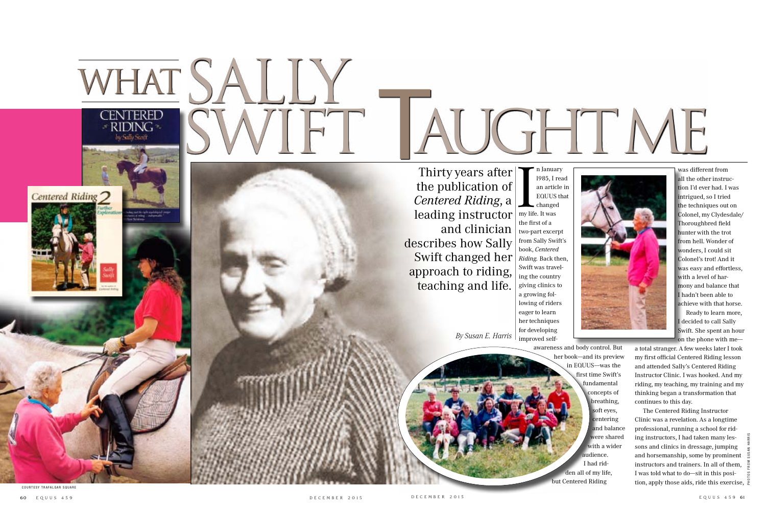



n Januar<br>
1985, I r<br>
an artic<br>
EQUUS<br>
changed<br>
my life. It was n January l985, I read an article in EQUUS that changed the first of a two-part excerpt from Sally Swift's book, *Centered Riding.* Back then, Swift was traveling the country giving clinics to a growing following of riders eager to learn her techniques for developing improved self-

Ready to learn more, I decided to call Sally Swift. She spent an hour on the phone with me---

awareness and body control. But her book-and its preview in EQUUS--was the first time Swift's fundamental concepts of breathing, soft eyes, centering and balance were shared with a wider audience. I had ridden all of my life, but Centered Riding

COURTESY TRAFALGAR SQUARE

**Centered Riding** 

was different from all the other instruction I'd ever had. I was intrigued, so I tried the techniques out on Colonel, my Clydesdale/ Thoroughbred field hunter with the trot from hell. Wonder of wonders, I could sit Colonel's trot! And it was easy and effortless, with a level of harmony and balance that I hadn't been able to achieve with that horse.

a total stranger. A few weeks later I took my first official Centered Riding lesson and attended Sally's Centered Riding Instructor Clinic. I was hooked. And my riding, my teaching, my training and my thinking began a transformation that continues to this day.

The Centered Riding Instructor Clinic was a revelation. As a longtime professional, running a school for riding instructors, I had taken many lessons and clinics in dressage, jumping and horsemanship, some by prominent instructors and trainers. In all of them, I was told what to do—sit in this position, apply those aids, ride this exercise,

photos from susan harris

# WHAT SALLY CENTERED SWIFT AUGHT ME WHAT,

Thirty years after the publication of *Centered Riding*, a leading instructor and clinician describes how Sally Swift changed her approach to riding, teaching and life.

*By Susan E. Harris*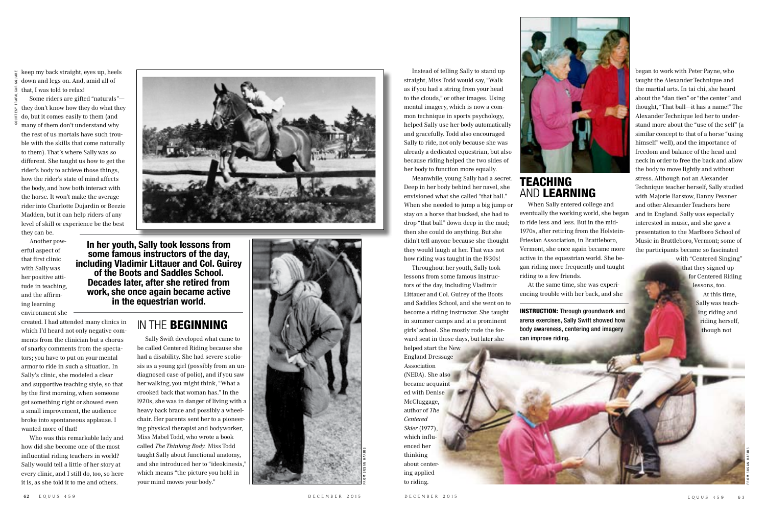Instead of telling Sally to stand up straight, Miss Todd would say, "Walk as if you had a string from your head to the clouds," or other images. Using mental imagery, which is now a common technique in sports psychology, helped Sally use her body automatically and gracefully. Todd also encouraged Sally to ride, not only because she was already a dedicated equestrian, but also because riding helped the two sides of her body to function more equally.

Meanwhile, young Sally had a secret. Deep in her body behind her navel, she envisioned what she called "that ball." When she needed to jump a big jump or stay on a horse that bucked, she had to drop "that ball" down deep in the mud; then she could do anything. But she didn't tell anyone because she thought they would laugh at her. That was not how riding was taught in the l930s!

 $\frac{1}{x}$  keep my back straight, eyes up, heels down and legs on. And, amid all of that, I was told to relax!

Some riders are gifted "naturals"they don't know how they do what they do, but it comes easily to them (and many of them don't understand why the rest of us mortals have such trouble with the skills that come naturally to them). That's where Sally was so different. She taught us how to get the rider's body to achieve those things, how the rider's state of mind affects the body, and how both interact with the horse. It won't make the average rider into Charlotte Dujardin or Beezie Madden, but it can help riders of any level of skill or experience be the best they can be.

> Throughout her youth, Sally took lessons from some famous instructors of the day, including Vladimir Littauer and Col. Guirey of the Boots and Saddles School, and she went on to become a riding instructor. She taught in summer camps and at a prominent girls' school. She mostly rode the forward seat in those days, but later she helped start the New England Dressage Association (NEDA). She also became acquainted with Denise McCluggage, author of *The Centered Skier* (1977), which influenced her thinking about centering applied to riding.



#### **TEACHING** and learning

Another powerful aspect of that first clinic with Sally was her positive attitude in teaching, and the affirming learning environment she

created. I had attended many clinics in which I'd heard not only negative comments from the clinician but a chorus of snarky comments from the spectators; you have to put on your mental armor to ride in such a situation. In Sally's clinic, she modeled a clear and supportive teaching style, so that by the first morning, when someone got something right or showed even a small improvement, the audience broke into spontaneous applause. I wanted more of that!

Who was this remarkable lady and how did she become one of the most influential riding teachers in world? Sally would tell a little of her story at every clinic, and I still do, too, so here it is, as she told it to me and others.



When Sally entered college and eventually the working world, she began to ride less and less. But in the mid-1970s, after retiring from the Holstein-Friesian Association, in Brattleboro, Vermont, she once again became more active in the equestrian world. She began riding more frequently and taught riding to a few friends.

At the same time, she was experiencing trouble with her back, and she

began to work with Peter Payne, who taught the Alexander Technique and the martial arts. In tai chi, she heard about the "dan tien" or "the center" and thought, "That ball--it has a name!" The Alexander Technique led her to understand more about the "use of the self" (a similar concept to that of a horse "using himself" well), and the importance of freedom and balance of the head and neck in order to free the back and allow the body to move lightly and without stress. Although not an Alexander Technique teacher herself, Sally studied with Majorie Barstow, Danny Pevsner and other Alexander Teachers here and in England. Sally was especially interested in music, and she gave a presentation to the Marlboro School of Music in Brattleboro, Vermont; some of the participants became so fascinated with "Centered Singing"

that they signed up for Centered Riding lessons, too.

At this time, Sally was teaching riding and riding herself, though not

> FROMSUSAN HARRIS



Sally Swift developed what came to be called Centered Riding because she had a disability. She had severe scoliosis as a young girl (possibly from an undiagnosed case of polio), and if you saw her walking, you might think, "What a crooked back that woman has." In the l920s, she was in danger of living with a heavy back brace and possibly a wheelchair. Her parents sent her to a pioneering physical therapist and bodyworker, Miss Mabel Todd, who wrote a book called *The Thinking Body.* Miss Todd taught Sally about functional anatomy, and she introduced her to "ideokinesis," which means "the picture you hold in your mind moves your body."

**In her youth, Sally took lessons from some famous instructors of the day, including Vladimir Littauer and Col. Guirey of the Boots and Saddles School. Decades later, after she retired from work, she once again became active in the equestrian world.** 

#### IN THE **BEGINNING**

INSTRUCTION: Through groundwork and arena exercises, Sally Swift showed how body awareness, centering and imagery can improve riding.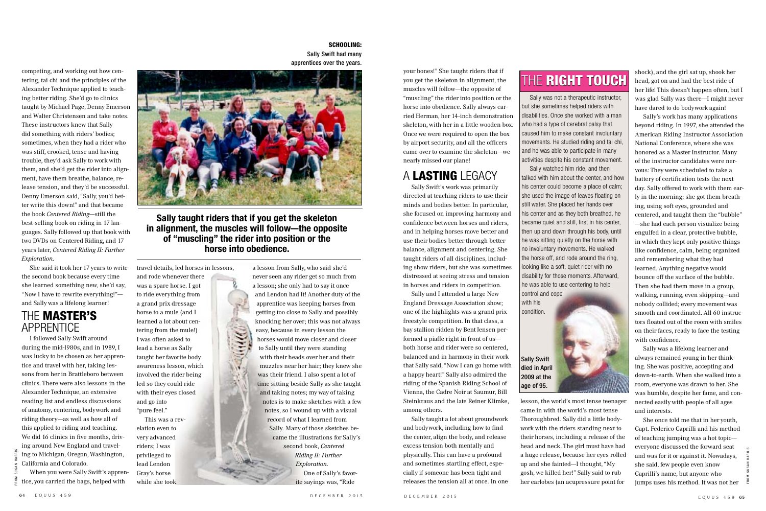

and go into "pure feel."

lead Lendon Gray's horse while she took



#### The master's **APPRENTICE**

competing, and working out how centering, tai chi and the principles of the Alexander Technique applied to teaching better riding. She'd go to clinics taught by Michael Page, Denny Emerson and Walter Christensen and take notes. These instructors knew that Sally did something with riders' bodies; sometimes, when they had a rider who was stiff, crooked, tense and having trouble, they'd ask Sally to work with them, and she'd get the rider into alignment, have them breathe, balance, release tension, and they'd be successful. Denny Emerson said, "Sally, you'd better write this down!" and that became the book *Centered Riding*-still the best-selling book on riding in 17 languages. Sally followed up that book with two DVDs on Centered Riding, and 17 years later, *Centered Riding II: Further* 

*Exploration.*

She said it took her 17 years to write the second book because every time she learned something new, she'd say, "Now I have to rewrite everything!"and Sally was a lifelong learner!

I followed Sally Swift around during the mid-l980s, and in 1989, I was lucky to be chosen as her apprentice and travel with her, taking lessons from her in Brattleboro between clinics. There were also lessons in the Alexander Technique, an extensive reading list and endless discussions of anatomy, centering, bodywork and riding theory---as well as how all of this applied to riding and teaching. We did 16 clinics in five months, driving around New England and traveling to Michigan, Oregon, Washington, California and Colorado.

When you were Sally Swift's apprentice, you carried the bags, helped with

your bones!" She taught riders that if you get the skeleton in alignment, the muscles will follow--- the opposite of "muscling" the rider into position or the horse into obedience. Sally always carried Herman, her 14-inch demonstration skeleton, with her in a little wooden box. Once we were required to open the box by airport security, and all the officers came over to examine the skeleton--we nearly missed our plane!

### A lasting legacy

Sally Swift's work was primarily directed at teaching riders to use their minds and bodies better. In particular, she focused on improving harmony and confidence between horses and riders, and in helping horses move better and use their bodies better through better balance, alignment and centering. She taught riders of all disciplines, including show riders, but she was sometimes distressed at seeing stress and tension in horses and riders in competition.

Sally and I attended a large New England Dressage Association show; one of the highlights was a grand prix freestyle competition. In that class, a bay stallion ridden by Bent Jensen performed a piaffe right in front of us--both horse and rider were so centered, balanced and in harmony in their work that Sally said, "Now I can go home with a happy heart!" Sally also admired the riding of the Spanish Riding School of Vienna, the Cadre Noir at Saumur, Bill Steinkraus and the late Reiner Klimke, among others.

Sally taught a lot about groundwork and bodywork, including how to find the center, align the body, and release excess tension both mentally and physically. This can have a profound and sometimes startling effect, especially if someone has been tight and releases the tension all at once. In one

## THE RIGHT TOUCH

FROMSUSAN HARRIS

a lesson from Sally, who said she'd never seen any rider get so much from a lesson; she only had to say it once and Lendon had it! Another duty of the apprentice was keeping horses from getting too close to Sally and possibly knocking her over; this was not always easy, because in every lesson the horses would move closer and closer to Sally until they were standing with their heads over her and their muzzles near her hair; they knew she was their friend. I also spent a lot of time sitting beside Sally as she taught and taking notes; my way of taking notes is to make sketches with a few notes, so I wound up with a visual record of what I learned from Sally. Many of those sketches became the illustrations for Sally's second book, *Centered Riding II: Further Exploration.* One of Sally's favorite sayings was, "Ride

Sally was not a therapeutic instructor, but she sometimes helped riders with disabilities. Once she worked with a man who had a type of cerebral palsy that caused him to make constant involuntary movements. He studied riding and tai chi, and he was able to participate in many activities despite his constant movement.

Sally watched him ride, and then talked with him about the center, and how his center could become a place of calm; she used the image of leaves floating on still water. She placed her hands over his center and as they both breathed, he became quiet and still, first in his center, then up and down through his body, until he was sitting quietly on the horse with no involuntary movements. He walked the horse off, and rode around the ring, looking like a soft, quiet rider with no disability for those moments. Afterward, he was able to use centering to help control and cope

with his condition.

#### SCHOOLING:

Sally Swift had many apprentices over the years.



lesson, the world's most tense teenager came in with the world's most tense Thoroughbred. Sally did a little bodywork with the riders standing next to their horses, including a release of the head and neck. The girl must have had a huge release, because her eyes rolled up and she fainted-I thought, "My gosh, we killed her!" Sally said to rub her earlobes (an acupressure point for

shock), and the girl sat up, shook her head, got on and had the best ride of her life! This doesn't happen often, but I was glad Sally was there--I might never have dared to do bodywork again!

Sally's work has many applications beyond riding. In 1997, she attended the American Riding Instructor Association National Conference, where she was honored as a Master Instructor. Many of the instructor candidates were nervous: They were scheduled to take a battery of certification tests the next day. Sally offered to work with them early in the morning; she got them breathing, using soft eyes, grounded and centered, and taught them the "bubble" --she had each person visualize being engulfed in a clear, protective bubble, in which they kept only positive things like confidence, calm, being organized and remembering what they had learned. Anything negative would bounce off the surface of the bubble. Then she had them move in a group, walking, running, even skipping---and nobody collided; every movement was smooth and coordinated. All 60 instructors floated out of the room with smiles on their faces, ready to face the testing with confidence.

Sally was a lifelong learner and always remained young in her thinking. She was positive, accepting and down-to-earth. When she walked into a room, everyone was drawn to her. She was humble, despite her fame, and connected easily with people of all ages and interests.

She once told me that in her youth, Capt. Federico Caprilli and his method of teaching jumping was a hot topic-- everyone discussed the forward seat and was for it or against it. Nowadays, she said, few people even know Caprilli's name, but anyone who jumps uses his method. It was not her

**Sally taught riders that if you get the skeleton in alignment, the muscles will follow–the opposite of "muscling" the rider into position or the horse into obedience.**